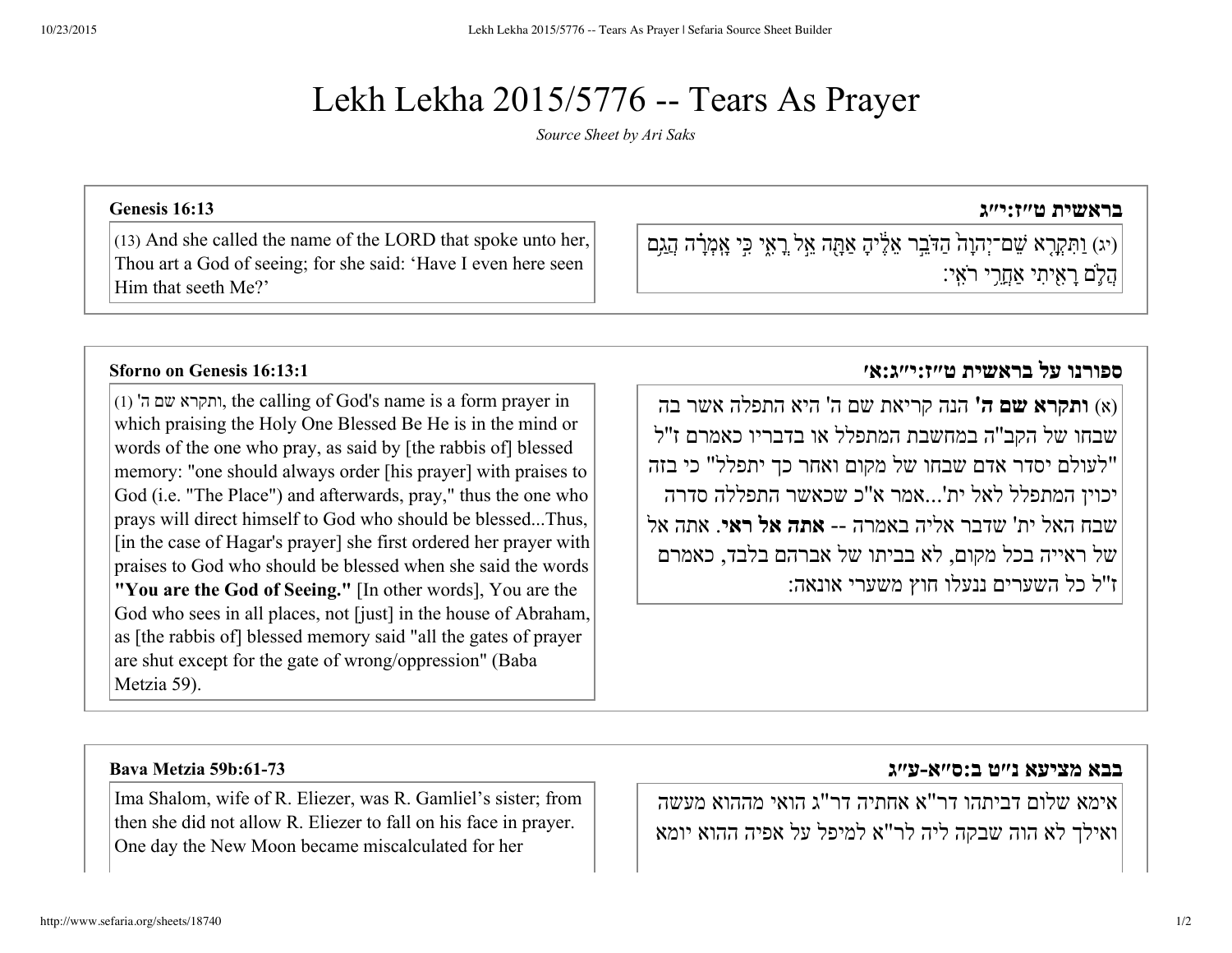# Lekh Lekha 2015/5776 -- Tears As Prayer

*Source Sheet by Ari [Saks](http://www.sefaria.org/profile/ari-saks)*

## **[בראשית](http://www.sefaria.org/Genesis.16.13) ט״ז:י״ג 16:13 [Genesis](http://www.sefaria.org/Genesis.16.13)**

(יג) וַתְּקָרָא שֵׁם־יִהְוָהֹ הַדֹּבֵר אֱלֵיהָ אַתָּה אֱלֹ רָאִי כִּי אֲמְרָׂה הַגַּם ֲה֛םָרִ֖איִתי אֲַחֵ֥רי רִֹאֽי׃

Him that seeth Me?'

(1) 'ה שם ותקרא, the calling of God's name is a form prayer in which praising the Holy One Blessed Be He is in the mind or words of the one who pray, as said by [the rabbis of] blessed memory: "one should always order [his prayer] with praises to God (i.e. "The Place") and afterwards, pray," thus the one who prays will direct himself to God who should be blessed...Thus, [in the case of Hagar's prayer] she first ordered her prayer with praises to God who should be blessed when she said the words **"You are the God of Seeing."** [In other words], You are the God who sees in all places, not [just] in the house of Abraham, as [the rabbis of] blessed memory said "all the gates of prayer are shut except for the gate of wrong/oppression" (Baba Metzia 59).

(13) And she called the name of the LORD that spoke unto her, Thou art a God of seeing; for she said: 'Have I even here seen

### **ספורנו על בראשית [ט״ז:י״ג:א׳](http://www.sefaria.org/Sforno_on_Genesis.16.13.1) 16:13:1 [Genesis](http://www.sefaria.org/Sforno_on_Genesis.16.13.1) on Sforno**

(א) **ותקרא שם ה'** הנה קריאת שם ה' היא התפלה אשר בה שבחו של הקב''ה במחשבת המתפלל או בדבריו כאמרם ז''ל "לעולם יסדר אדם שבחו של מקום ואחר כך יתפלל" כי בזה יכוין המתפלל לאל ית'...אמר א''כ שכאשר התפללה סדרה שבח האל ית' שדבר אליה באמרה **אתה אל ראי**. אתה אל של ראייה בכל מקום, לא בביתו של אברהם בלבד, כאמרם ז''ל כל השערים ננעלו חוץ משערי אונאה:

Ima Shalom, wife of R. Eliezer, was R. Gamliel's sister; from then she did not allow R. Eliezer to fall on his face in prayer. One day the New Moon became miscalculated for her

### **בבא מציעא נ״ט [ב:ס״אע״ג](http://www.sefaria.org/Bava_Metzia.59b.61-73) [:6173b59](http://www.sefaria.org/Bava_Metzia.59b.61-73) Metzia Bava**

אימא שלום דביתהו דר"א אחתיה דר"ג הואי מההוא מעשה ואילך לא הוה שבקה ליה לר"א למיפל על אפיה ההוא יומא